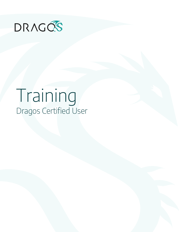

# Training Dragos Certified User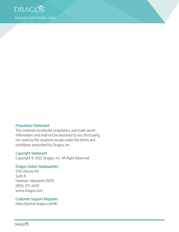

#### Proprietary Statement

This material constitutes proprietary and trade secret information and shall not be disclosed to any third party, nor used by the recipient except under the terms and conditions prescribed by Dragos, Inc.

#### Copyright Statement

Copyright © 2022 Dragos, Inc. All Right Reserved

#### Dragos Global Headquarters

1745 Dorsey Rd Suite R Hanover, Maryland 21076 (855)-372-4670 www.dragos.com

#### Customer Support Requests

https://portal.dragos.com/#/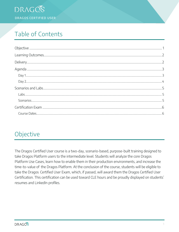

# Table of Contents

# <span id="page-2-0"></span>Objective

The Dragos Certified User course is a two-day, scenario-based, purpose-built training designed to take Dragos Platform users to the intermediate level. Students will analyze the core Dragos Platform Use Cases, learn how to enable them in their production environments, and increase the time-to-value of the Dragos Platform. At the conclusion of the course, students will be eligible to take the Dragos Certified User Exam, which, if passed, will award them the Dragos Certified User Certification. This certification can be used toward CLE hours and be proudly displayed on students' resumes and LinkedIn profiles.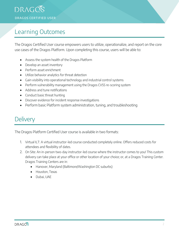# <span id="page-3-0"></span>Learning Outcomes

The Dragos Certified User course empowers users to utilize, operationalize, and report on the core use cases of the Dragos Platform. Upon completing this course, users will be able to:

- Assess the system health of the Dragos Platform
- Develop an asset inventory
- Perform asset enrichment
- Utilize behavior analytics for threat detection
- Gain visibility into operational technology and industrial control systems
- Perform vulnerability management using the Dragos CVSS re-scoring system
- Address and tune notifications
- Conduct basic threat hunting
- Discover evidence for incident response investigations
- Perform basic Platform system administration, tuning, and troubleshooting

### <span id="page-3-1"></span>**Delivery**

The Dragos Platform Certified User course is available in two formats:

- 1. Virtual ILT: A virtual instructor-led course conducted completely online. Offers reduced costs for attendees and flexibility of dates.
- 2. On Site: An in-person two-day instructor-led course where the instructor comes to you! This custom delivery can take place at your office or other location of your choice; or, at a Dragos Training Center. Dragos Training Centers are in:
	- Hanover, Maryland (Baltimore/Washington DC suburbs)
	- Houston, Texas
	- Dubai, UAE

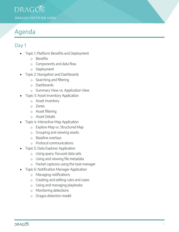### DRAGOS DRAGOS CERTIFIED USER

# <span id="page-4-0"></span>Agenda

### <span id="page-4-1"></span>Day 1

- Topic 1: Platform Benefits and Deployment
	- o Benefits
	- o Components and data flow
	- o Deployment
- Topic 2: Navigation and Dashboards
	- o Searching and filtering
	- o Dashboards
	- o Summary View vs. Application View
	- Topic 3: Asset Inventory Application
		- o Asset inventory
		- o Zones
		- o Asset filtering
		- o Asset Details
- Topic 4: Interactive Map Application
	- o Explore Map vs. Structured Map
	- o Grouping and viewing assets
	- o Baseline overlays
	- o Protocol communications
- Topic 5: Data Explorer Application
	- o Using query-focused data sets
	- o Using and viewing file metadata
	- o Packet captures using the task manager
- Topic 6: Notification Manager Application
	- o Managing notifications
	- o Creating and editing rules and cases
	- o Using and managing playbooks
	- o Monitoring detections
	- o Dragos detection model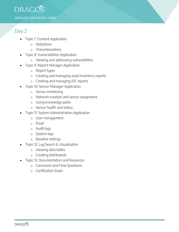

#### <span id="page-5-0"></span>Day 2

- Topic 7: Content Application
	- o Detections
	- o Characterizations
- Topic 8: Vulnerabilities Application
	- o Viewing and addressing vulnerabilities
	- Topic 9: Report Manager Application
		- o Report types
		- o Creating and managing asset inventory reports
		- o Creating and managing IOC reports
- Topic 10: Sensor Manager Application
	- o Sensor monitoring
	- o Network creation and sensor assignment
	- o Using knowledge packs
	- o Sensor health and status
- Topic 11: System Administration Application
	- o User management
	- o Email
	- o Audit logs
	- o System logs
	- o Baseline settings
- Topic 12: Log Search & Visualization
	- o Viewing data tables
	- o Creating dashboards
- Topic 13: Documentation and Resources
	- o Conclusion and Final Questions
	- o Certification Exam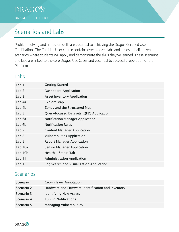DRAGOS DRAGOS CERTIFIED USER

### <span id="page-6-0"></span>Scenarios and Labs

Problem-solving and hands-on skills are essential to achieving the Dragos Certified User Certification. The Certified User course contains over a dozen labs and almost a half-dozen scenarios where students will apply and demonstrate the skills they've learned. These scenarios and labs are linked to the core Dragos Use Cases and essential to successful operation of the Platform.

#### <span id="page-6-1"></span>Labs

| <b>Getting Started</b>                   |
|------------------------------------------|
| Dashboard Application                    |
| <b>Asset Inventory Application</b>       |
| Explore Map                              |
| Zones and the Structured Map             |
| Query-focused Datasets (QFD) Application |
| Notification Manager Application         |
| <b>Notification Rules</b>                |
| <b>Content Manager Application</b>       |
| <b>Vulnerabilities Application</b>       |
| <b>Report Manager Application</b>        |
| <b>Sensor Manager Application</b>        |
| Health + Status Tab                      |
| <b>Administration Application</b>        |
| Log Search and Visualization Application |
|                                          |

#### <span id="page-6-2"></span>Scenarios

| Scenario 1 | <b>Crown Jewel Annotation</b>                      |  |  |
|------------|----------------------------------------------------|--|--|
| Scenario 2 | Hardware and Firmware Identification and Inventory |  |  |
| Scenario 3 | <b>Identifying New Assets</b>                      |  |  |
| Scenario 4 | <b>Tuning Notifications</b>                        |  |  |
| Scenario 5 | <b>Managing Vulnerabilities</b>                    |  |  |

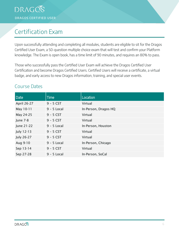# <span id="page-7-0"></span>Certification Exam

Upon successfully attending and completing all modules, students are eligible to sit for the Dragos Certified User Exam, a 50-question multiple choice exam that will test and confirm your Platform knowledge. The Exam is open book, has a time limit of 90 minutes, and requires an 80% to pass.

Those who successfully pass the Certified User Exam will achieve the Dragos Certified User Certification and become Dragos Certified Users. Certified Users will receive a certificate, a virtual badge, and early access to new Dragos information, training, and special user events.

#### <span id="page-7-1"></span>Course Dates

| Date               | <b>Time</b>   | Location             |
|--------------------|---------------|----------------------|
| <b>April 26-27</b> | $9 - 5 CST$   | Virtual              |
| May 10-11          | $9 - 5$ Local | In-Person, Dragos HQ |
| May 24-25          | $9 - 5 CST$   | Virtual              |
| <b>June 7-8</b>    | $9 - 5 CST$   | Virtual              |
| June 21-22         | $9 - 5$ Local | In-Person, Houston   |
| July 12-13         | $9 - 5 CST$   | Virtual              |
| <b>July 26-27</b>  | $9 - 5 CST$   | Virtual              |
| Aug 9-10           | $9 - 5$ Local | In-Person, Chicago   |
| Sep 13-14          | $9 - 5 CST$   | Virtual              |
| Sep 27-28          | $9 - 5$ Local | In-Person, SoCal     |